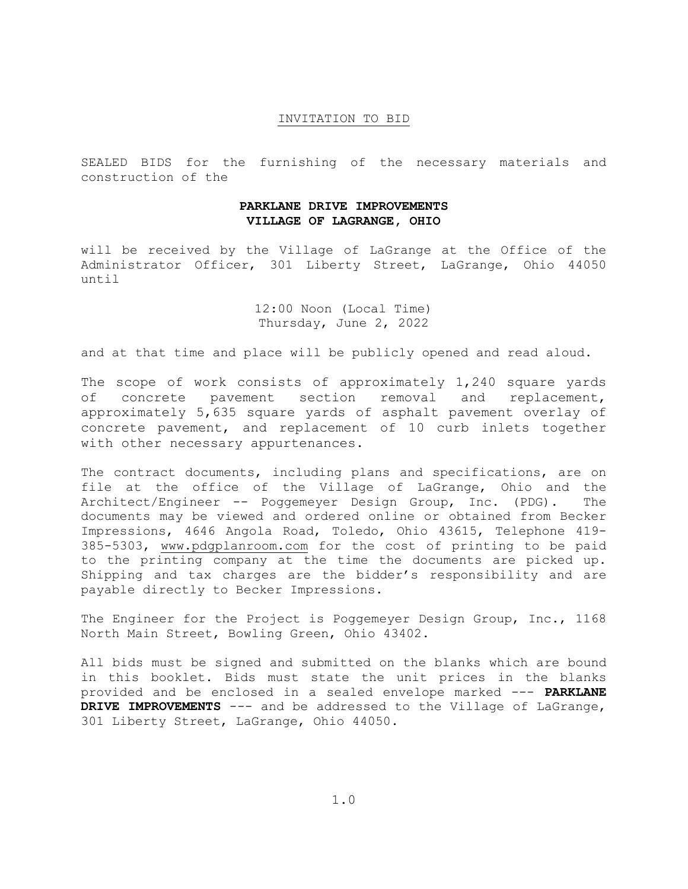## INVITATION TO BID

SEALED BIDS for the furnishing of the necessary materials and construction of the

## **PARKLANE DRIVE IMPROVEMENTS VILLAGE OF LAGRANGE, OHIO**

will be received by the Village of LaGrange at the Office of the Administrator Officer, 301 Liberty Street, LaGrange, Ohio 44050 until

> 12:00 Noon (Local Time) Thursday, June 2, 2022

and at that time and place will be publicly opened and read aloud.

The scope of work consists of approximately 1,240 square yards of concrete pavement section removal and replacement, approximately 5,635 square yards of asphalt pavement overlay of concrete pavement, and replacement of 10 curb inlets together with other necessary appurtenances.

The contract documents, including plans and specifications, are on file at the office of the Village of LaGrange, Ohio and the Architect/Engineer -- Poggemeyer Design Group, Inc. (PDG). The documents may be viewed and ordered online or obtained from Becker Impressions, 4646 Angola Road, Toledo, Ohio 43615, Telephone 419- 385-5303, www.pdgplanroom.com for the cost of printing to be paid to the printing company at the time the documents are picked up. Shipping and tax charges are the bidder's responsibility and are payable directly to Becker Impressions.

The Engineer for the Project is Poggemeyer Design Group, Inc., 1168 North Main Street, Bowling Green, Ohio 43402.

All bids must be signed and submitted on the blanks which are bound in this booklet. Bids must state the unit prices in the blanks provided and be enclosed in a sealed envelope marked --- **PARKLANE DRIVE IMPROVEMENTS** --- and be addressed to the Village of LaGrange, 301 Liberty Street, LaGrange, Ohio 44050.